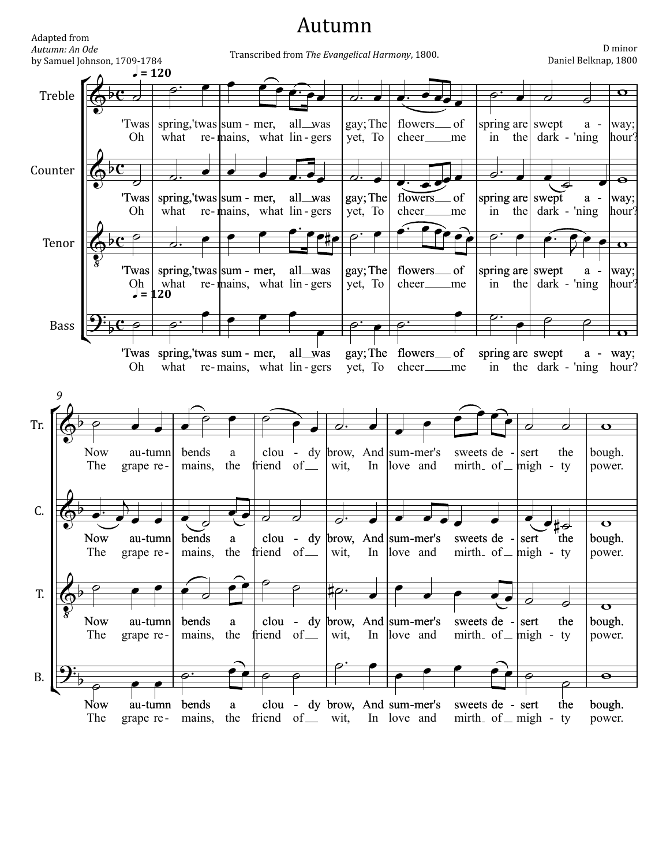## Autumn